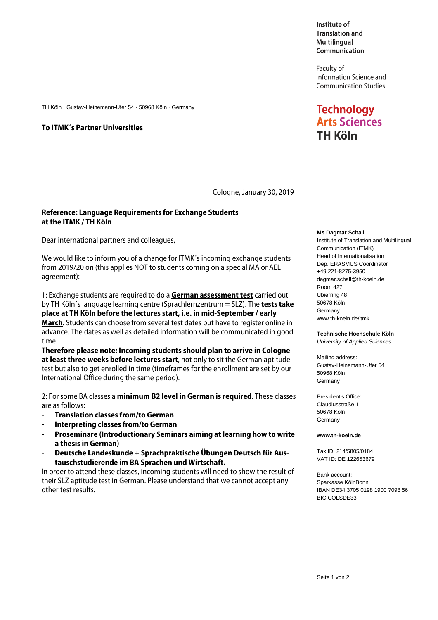Institute of **Translation and Multilingual** Communication

Faculty of Information Science and **Communication Studies** 

# **Technology Arts Sciences TH Köln**

Cologne, January 30, 2019

### **Reference: Language Requirements for Exchange Students at the ITMK / TH Köln**

Dear international partners and colleagues,

TH Köln · Gustav-Heinemann-Ufer 54 · 50968 Köln · Germany

**To ITMK´s Partner Universities**

We would like to inform you of a change for ITMK´s incoming exchange students from 2019/20 on (this applies NOT to students coming on a special MA or AEL agreement):

1: Exchange students are required to do a **German assessment test** carried out by TH Köln´s language learning centre (Sprachlernzentrum = SLZ). The **tests take place at TH Köln before the lectures start, i.e. in mid-September / early** 

**March**. Students can choose from several test dates but have to register online in advance. The dates as well as detailed information will be communicated in good time.

**Therefore please note: Incoming students should plan to arrive in Cologne at least three weeks before lectures start**, not only to sit the German aptitude test but also to get enrolled in time (timeframes for the enrollment are set by our International Office during the same period).

2: For some BA classes a **minimum B2 level in German is required**. These classes are as follows:

- **Translation classes from/to German**
- **Interpreting classes from/to German**
- **Proseminare (Introductionary Seminars aiming at learning how to write a thesis in German)**
- **Deutsche Landeskunde + Sprachpraktische Übungen Deutsch für Austauschstudierende im BA Sprachen und Wirtschaft.**

In order to attend these classes, incoming students will need to show the result of their SLZ aptitude test in German. Please understand that we cannot accept any other test results.

#### **Ms Dagmar Schall**

Institute of Translation and Multilingual Communication (ITMK) Head of Internationalisation Dep. ERASMUS Coordinator +49 221-8275-3950 dagmar.schall@th-koeln.de Room 427 Ubierring 48 50678 Köln Germany www.th-koeln.de/itmk

**Technische Hochschule Köln** *University of Applied Sciences*

Mailing address: Gustav-Heinemann-Ufer 54 50968 Köln Germany

President's Office: Claudiusstraße 1 50678 Köln Germany

#### **www.th-koeln.de**

Tax ID: 214/5805/0184 VAT ID: DE 122653679

Bank account: Sparkasse KölnBonn IBAN DE34 3705 0198 1900 7098 56 BIC COLSDE33